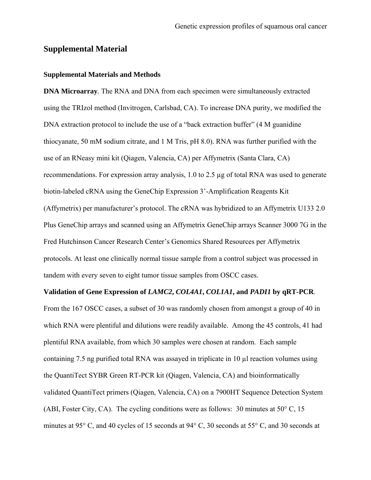## **Supplemental Material**

## **Supplemental Materials and Methods**

**DNA Microarray***.* The RNA and DNA from each specimen were simultaneously extracted using the TRIzol method (Invitrogen, Carlsbad, CA). To increase DNA purity, we modified the DNA extraction protocol to include the use of a "back extraction buffer" (4 M guanidine thiocyanate, 50 mM sodium citrate, and 1 M Tris, pH 8.0). RNA was further purified with the use of an RNeasy mini kit (Qiagen, Valencia, CA) per Affymetrix (Santa Clara, CA) recommendations. For expression array analysis, 1.0 to 2.5 µg of total RNA was used to generate biotin-labeled cRNA using the GeneChip Expression 3'-Amplification Reagents Kit (Affymetrix) per manufacturer's protocol. The cRNA was hybridized to an Affymetrix U133 2.0 Plus GeneChip arrays and scanned using an Affymetrix GeneChip arrays Scanner 3000 7G in the Fred Hutchinson Cancer Research Center's Genomics Shared Resources per Affymetrix protocols. At least one clinically normal tissue sample from a control subject was processed in tandem with every seven to eight tumor tissue samples from OSCC cases.

## **Validation of Gene Expression of** *LAMC2***,** *COL4A1***,** *COL1A1***, and** *PADI1* **by qRT-PCR**.

From the 167 OSCC cases, a subset of 30 was randomly chosen from amongst a group of 40 in which RNA were plentiful and dilutions were readily available. Among the 45 controls, 41 had plentiful RNA available, from which 30 samples were chosen at random. Each sample containing 7.5 ng purified total RNA was assayed in triplicate in 10 µl reaction volumes using the QuantiTect SYBR Green RT-PCR kit (Qiagen, Valencia, CA) and bioinformatically validated QuantiTect primers (Qiagen, Valencia, CA) on a 7900HT Sequence Detection System (ABI, Foster City, CA). The cycling conditions were as follows: 30 minutes at 50° C, 15 minutes at 95° C, and 40 cycles of 15 seconds at 94° C, 30 seconds at 55° C, and 30 seconds at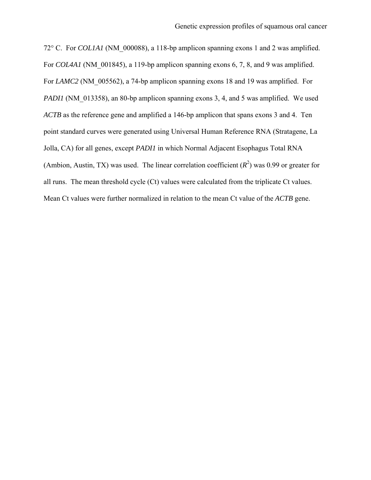72° C. For *COL1A1* (NM\_000088), a 118-bp amplicon spanning exons 1 and 2 was amplified. For *COL4A1* (NM 001845), a 119-bp amplicon spanning exons 6, 7, 8, and 9 was amplified. For *LAMC2* (NM 005562), a 74-bp amplicon spanning exons 18 and 19 was amplified. For *PADI1* (NM 013358), an 80-bp amplicon spanning exons 3, 4, and 5 was amplified. We used *ACTB* as the reference gene and amplified a 146-bp amplicon that spans exons 3 and 4. Ten point standard curves were generated using Universal Human Reference RNA (Stratagene, La Jolla, CA) for all genes, except *PADI1* in which Normal Adjacent Esophagus Total RNA (Ambion, Austin, TX) was used. The linear correlation coefficient  $(R^2)$  was 0.99 or greater for all runs. The mean threshold cycle (Ct) values were calculated from the triplicate Ct values. Mean Ct values were further normalized in relation to the mean Ct value of the *ACTB* gene.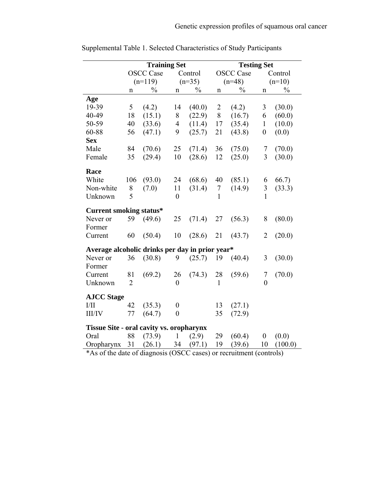|                                                 | <b>Training Set</b> |                  |                  |               | <b>Testing Set</b> |                  |                  |               |  |  |  |
|-------------------------------------------------|---------------------|------------------|------------------|---------------|--------------------|------------------|------------------|---------------|--|--|--|
|                                                 | <b>OSCC</b> Case    |                  | Control          |               | <b>OSCC</b> Case   |                  | Control          |               |  |  |  |
|                                                 | $(n=119)$           |                  | $(n=35)$         |               | $(n=48)$           |                  | $(n=10)$         |               |  |  |  |
|                                                 | n                   | $\frac{0}{0}$    | $\mathbf n$      | $\frac{0}{0}$ | $\mathbf n$        | $\frac{0}{0}$    | n                | $\frac{0}{0}$ |  |  |  |
| Age                                             |                     |                  |                  |               |                    |                  |                  |               |  |  |  |
| 19-39                                           | 5                   | (4.2)            | 14               | (40.0)        | $\overline{2}$     | (4.2)            | $\mathfrak{Z}$   | (30.0)        |  |  |  |
| 40-49                                           | 18                  | (15.1)           | $\, 8$           | (22.9)        | $8\,$              | (16.7)           | 6                | (60.0)        |  |  |  |
| 50-59                                           | 40                  | (33.6)           | $\overline{4}$   | (11.4)        | 17                 | (35.4)           | $\mathbf{1}$     | (10.0)        |  |  |  |
| 60-88                                           | 56                  | (47.1)           | 9                | (25.7)        | 21                 | (43.8)           | $\boldsymbol{0}$ | (0.0)         |  |  |  |
| <b>Sex</b>                                      |                     |                  |                  |               |                    |                  |                  |               |  |  |  |
| Male                                            | 84                  | (70.6)           | 25               | (71.4)        | 36                 | (75.0)           | 7                | (70.0)        |  |  |  |
| Female                                          | 35                  | (29.4)           | 10               | (28.6)        | 12                 | (25.0)           | 3                | (30.0)        |  |  |  |
| Race                                            |                     |                  |                  |               |                    |                  |                  |               |  |  |  |
| White                                           | 106                 | (93.0)           | 24               | (68.6)        | 40                 | (85.1)           | 6                | 66.7)         |  |  |  |
| Non-white                                       | 8                   | (7.0)            | 11               | (31.4)        | $\tau$             | (14.9)           | 3                | (33.3)        |  |  |  |
| Unknown                                         | 5                   |                  | $\boldsymbol{0}$ |               | $\mathbf{1}$       |                  | $\mathbf{1}$     |               |  |  |  |
| <b>Current smoking status*</b>                  |                     |                  |                  |               |                    |                  |                  |               |  |  |  |
| Never or                                        | 59                  | (49.6)           | 25               | (71.4)        | 27                 | (56.3)           | 8                | (80.0)        |  |  |  |
| Former                                          |                     |                  |                  |               |                    |                  |                  |               |  |  |  |
| Current                                         | 60                  | (50.4)           | 10               | (28.6)        | 21                 | (43.7)           | $\overline{2}$   | (20.0)        |  |  |  |
| Average alcoholic drinks per day in prior year* |                     |                  |                  |               |                    |                  |                  |               |  |  |  |
| Never or                                        | 36                  | (30.8)           | 9                | (25.7)        | 19                 | (40.4)           | 3                | (30.0)        |  |  |  |
| Former                                          |                     |                  |                  |               |                    |                  |                  |               |  |  |  |
| Current                                         | 81                  | (69.2)           | 26               | (74.3)        | 28                 | (59.6)           | 7                | (70.0)        |  |  |  |
| Unknown                                         | $\overline{2}$      |                  | $\mathbf{0}$     |               | $\mathbf{1}$       |                  | $\theta$         |               |  |  |  |
|                                                 |                     |                  |                  |               |                    |                  |                  |               |  |  |  |
|                                                 |                     |                  |                  |               |                    |                  |                  |               |  |  |  |
| <b>III/IV</b>                                   | 77                  | (64.7)           | $\boldsymbol{0}$ |               | 35                 | (72.9)           |                  |               |  |  |  |
| <b>Tissue Site - oral cavity vs. oropharynx</b> |                     |                  |                  |               |                    |                  |                  |               |  |  |  |
| Oral                                            |                     |                  | $\mathbf{1}$     |               |                    |                  |                  |               |  |  |  |
| Oropharynx                                      | 31                  | (26.1)           | 34               | (97.1)        | 19                 | (39.6)           | 10               | (100.0)       |  |  |  |
| <b>AJCC Stage</b><br>I/II                       | 42<br>88            | (35.3)<br>(73.9) | $\boldsymbol{0}$ | (2.9)         | 13<br>29           | (27.1)<br>(60.4) | $\boldsymbol{0}$ | (0.0)         |  |  |  |

Supplemental Table 1. Selected Characteristics of Study Participants

\*As of the date of diagnosis (OSCC cases) or recruitment (controls)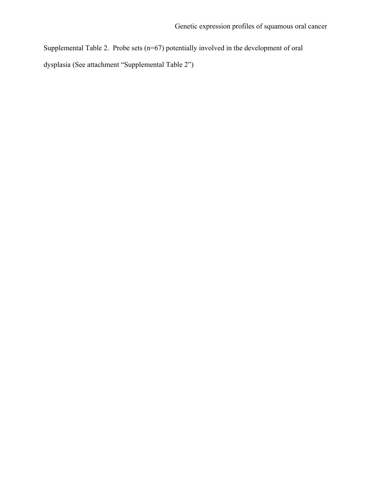Supplemental Table 2. Probe sets (n=67) potentially involved in the development of oral dysplasia (See attachment "Supplemental Table 2")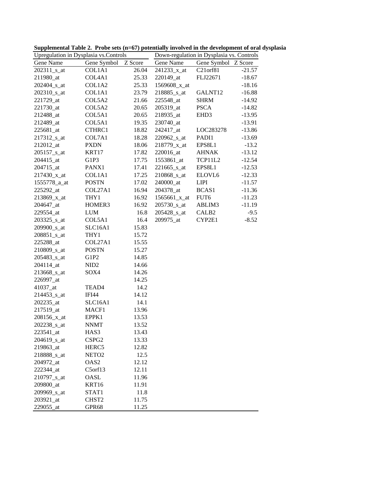| Upregulation in Dysplasia vs.Controls |                   |                      | Down-regulation in Dysplasia vs. Controls |                       |          |  |  |
|---------------------------------------|-------------------|----------------------|-------------------------------------------|-----------------------|----------|--|--|
| Gene Name                             | Gene Symbol       | $\overline{Z}$ Score | Gene Name                                 | Gene Symbol           | Z Score  |  |  |
| 202311_s_at                           | COL1A1            | 26.04                | 241233_x_at                               | C <sub>21</sub> orf81 | $-21.57$ |  |  |
| 211980_at                             | COL4A1            | 25.33                | 220149_at                                 | FLJ22671              | $-18.67$ |  |  |
| 202404 s at                           | COL1A2            | 25.33                | 1569608_x_at                              |                       | $-18.16$ |  |  |
| 202310 <sub>_s_at</sub>               | COL1A1            | 23.79                | 218885_s_at                               | GALNT12               | $-16.88$ |  |  |
| 221729_at                             | COL5A2            | 21.66                | 225548_at                                 | <b>SHRM</b>           | $-14.92$ |  |  |
| 221730_at                             | COL5A2            | 20.65                | 205319_at                                 | <b>PSCA</b>           | $-14.82$ |  |  |
| 212488_at                             | COL5A1            | 20.65                | 218935 at                                 | EHD <sub>3</sub>      | $-13.95$ |  |  |
| 212489_at                             | COL5A1            | 19.35                | 230740_at                                 |                       | $-13.91$ |  |  |
| 225681_at                             | CTHRC1            | 18.82                | 242417_at                                 | LOC283278             | $-13.86$ |  |  |
| 217312 <sub>_8_at</sub>               | COL7A1            | 18.28                | 220962 s at                               | PADI1                 | $-13.69$ |  |  |
| 212012_at                             | <b>PXDN</b>       | 18.06                | 218779_x_at                               | EPS8L1                | $-13.2$  |  |  |
| $205157$ _s_at                        | KRT17             | 17.82                | 220016_at                                 | <b>AHNAK</b>          | $-13.12$ |  |  |
| 204415_at                             | G1P3              | 17.75                | 1553861_at                                | TCP11L2               | $-12.54$ |  |  |
| 204715_at                             | PANX1             | 17.41                | 221665_s_at                               | EPS8L1                | $-12.53$ |  |  |
| 217430_x_at                           | COL1A1            | 17.25                | 210868 s at                               | ELOVL6                | $-12.33$ |  |  |
| 1555778_a_at                          | <b>POSTN</b>      | 17.02                | 240000_at                                 | <b>LIPI</b>           | $-11.57$ |  |  |
| 225292_at                             | COL27A1           | 16.94                | 204378_at                                 | BCAS1                 | $-11.36$ |  |  |
| 213869_x_at                           | THY1              | 16.92                | $1565661_x_at$                            | FUT6                  | $-11.23$ |  |  |
| 204647_at                             | HOMER3            | 16.92                | 205730 <sub>_s_at</sub>                   | ABLIM3                | $-11.19$ |  |  |
| 229554_at                             | <b>LUM</b>        | 16.8                 | $205428$ _s_at                            | CALB <sub>2</sub>     | $-9.5$   |  |  |
| $203325$ _s_at                        | COL5A1            | 16.4                 | 209975_at                                 | CYP2E1                | $-8.52$  |  |  |
| 209900_s_at                           | SLC16A1           | 15.83                |                                           |                       |          |  |  |
| 208851_s_at                           | THY1              | 15.72                |                                           |                       |          |  |  |
| 225288_at                             | COL27A1           | 15.55                |                                           |                       |          |  |  |
| 210809_s_at                           | <b>POSTN</b>      | 15.27                |                                           |                       |          |  |  |
| 205483_s_at                           | G1P2              | 14.85                |                                           |                       |          |  |  |
| 204114_at                             | NID <sub>2</sub>  | 14.66                |                                           |                       |          |  |  |
| 213668_s_at                           | SOX4              | 14.26                |                                           |                       |          |  |  |
| 226997_at                             |                   | 14.25                |                                           |                       |          |  |  |
| 41037_at                              | TEAD4             | 14.2                 |                                           |                       |          |  |  |
| 214453_s_at                           | IFI44             | 14.12                |                                           |                       |          |  |  |
| 202235_at                             | SLC16A1           | 14.1                 |                                           |                       |          |  |  |
| 217519_at                             | MACF1             | 13.96                |                                           |                       |          |  |  |
| 208156_x_at                           | EPPK1             | 13.53                |                                           |                       |          |  |  |
| 202238_s_at                           | <b>NNMT</b>       | 13.52                |                                           |                       |          |  |  |
| $223541$ _at                          | HAS3              | 13.43                |                                           |                       |          |  |  |
| 204619_s_at                           | CSPG <sub>2</sub> | 13.33                |                                           |                       |          |  |  |
| 219863_at                             | HERC <sub>5</sub> | 12.82                |                                           |                       |          |  |  |
| 218888_s_at                           | NETO <sub>2</sub> | 12.5                 |                                           |                       |          |  |  |
| 204972 at                             | OAS <sub>2</sub>  | 12.12                |                                           |                       |          |  |  |
| 222344_at                             | C5orf13           | 12.11                |                                           |                       |          |  |  |
| 210797_s_at                           | OASL              | 11.96                |                                           |                       |          |  |  |
| 209800_at                             | KRT16             | 11.91                |                                           |                       |          |  |  |
| 209969_s_at                           | STAT1             | 11.8                 |                                           |                       |          |  |  |
| 203921_at                             | CHST2             | 11.75                |                                           |                       |          |  |  |
| 229055_at                             | GPR68             | 11.25                |                                           |                       |          |  |  |

**Supplemental Table 2. Probe sets (n=67) potentially involved in the development of oral dysplasia**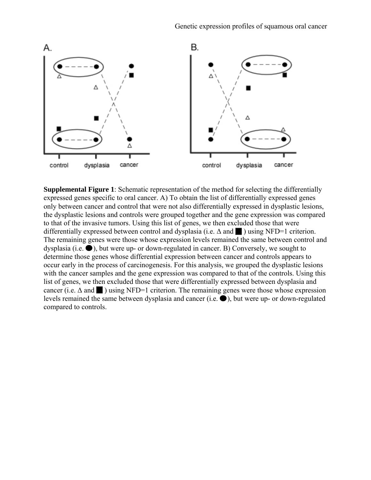

**Supplemental Figure 1**: Schematic representation of the method for selecting the differentially expressed genes specific to oral cancer. A) To obtain the list of differentially expressed genes only between cancer and control that were not also differentially expressed in dysplastic lesions, the dysplastic lesions and controls were grouped together and the gene expression was compared to that of the invasive tumors. Using this list of genes, we then excluded those that were differentially expressed between control and dysplasia (i.e.  $\Delta$  and  $\blacksquare$ ) using NFD=1 criterion. The remaining genes were those whose expression levels remained the same between control and dysplasia (i.e.  $\bullet$ ), but were up- or down-regulated in cancer. B) Conversely, we sought to determine those genes whose differential expression between cancer and controls appears to occur early in the process of carcinogenesis. For this analysis, we grouped the dysplastic lesions with the cancer samples and the gene expression was compared to that of the controls. Using this list of genes, we then excluded those that were differentially expressed between dysplasia and cancer (i.e.  $\Delta$  and  $\blacksquare$ ) using NFD=1 criterion. The remaining genes were those whose expression levels remained the same between dysplasia and cancer (i.e.  $\bullet$ ), but were up- or down-regulated compared to controls.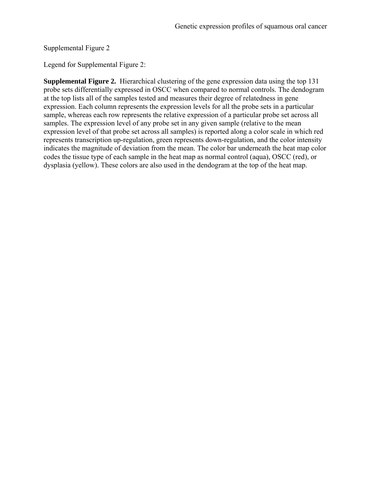Supplemental Figure 2

Legend for Supplemental Figure 2:

**Supplemental Figure 2.** Hierarchical clustering of the gene expression data using the top 131 probe sets differentially expressed in OSCC when compared to normal controls. The dendogram at the top lists all of the samples tested and measures their degree of relatedness in gene expression. Each column represents the expression levels for all the probe sets in a particular sample, whereas each row represents the relative expression of a particular probe set across all samples. The expression level of any probe set in any given sample (relative to the mean expression level of that probe set across all samples) is reported along a color scale in which red represents transcription up-regulation, green represents down-regulation, and the color intensity indicates the magnitude of deviation from the mean. The color bar underneath the heat map color codes the tissue type of each sample in the heat map as normal control (aqua), OSCC (red), or dysplasia (yellow). These colors are also used in the dendogram at the top of the heat map.